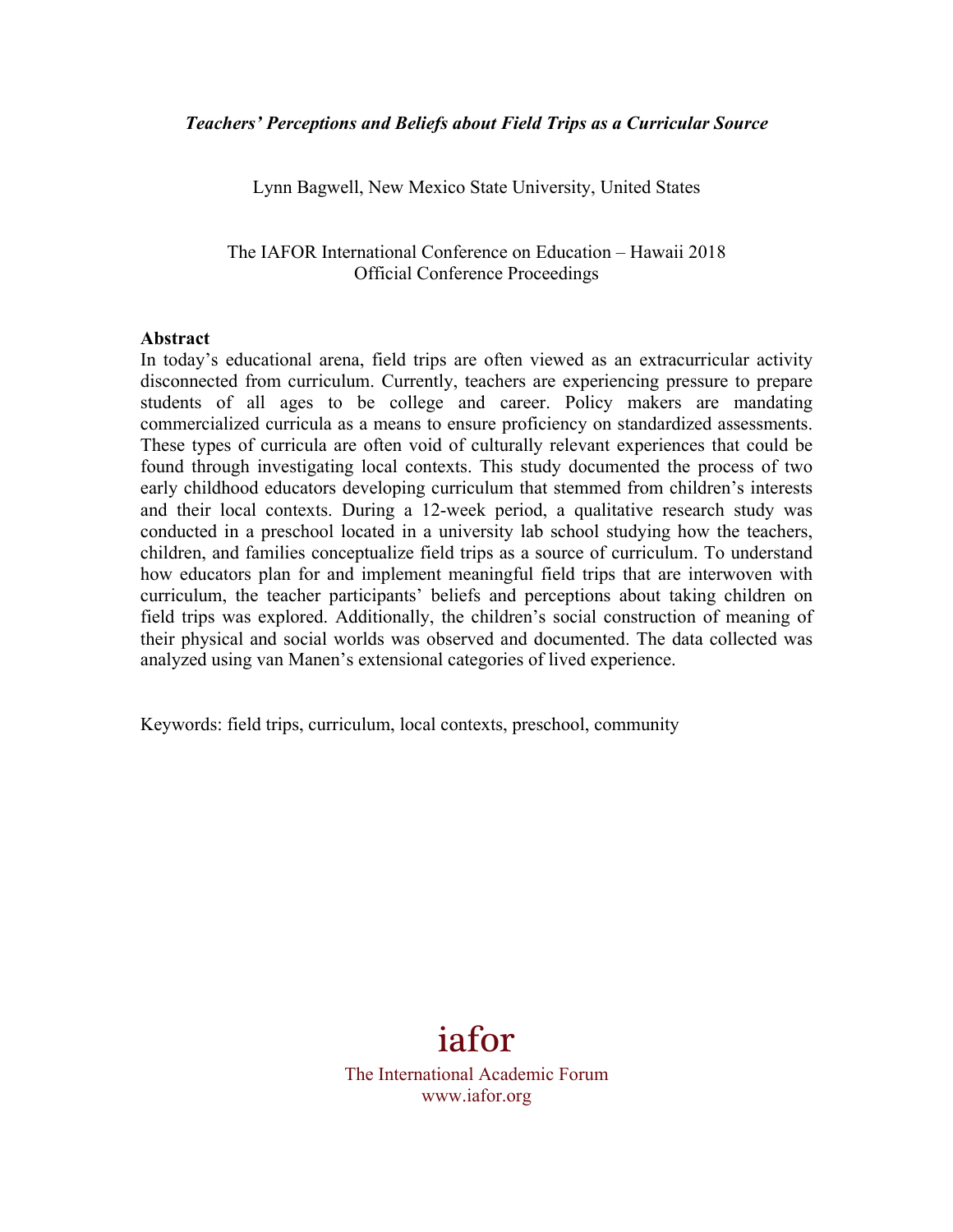Lynn Bagwell, New Mexico State University, United States

The IAFOR International Conference on Education – Hawaii 2018 Official Conference Proceedings

#### **Abstract**

In today's educational arena, field trips are often viewed as an extracurricular activity disconnected from curriculum. Currently, teachers are experiencing pressure to prepare students of all ages to be college and career. Policy makers are mandating commercialized curricula as a means to ensure proficiency on standardized assessments. These types of curricula are often void of culturally relevant experiences that could be found through investigating local contexts. This study documented the process of two early childhood educators developing curriculum that stemmed from children's interests and their local contexts. During a 12-week period, a qualitative research study was conducted in a preschool located in a university lab school studying how the teachers, children, and families conceptualize field trips as a source of curriculum. To understand how educators plan for and implement meaningful field trips that are interwoven with curriculum, the teacher participants' beliefs and perceptions about taking children on field trips was explored. Additionally, the children's social construction of meaning of their physical and social worlds was observed and documented. The data collected was analyzed using van Manen's extensional categories of lived experience.

Keywords: field trips, curriculum, local contexts, preschool, community

# iafor

The International Academic Forum www.iafor.org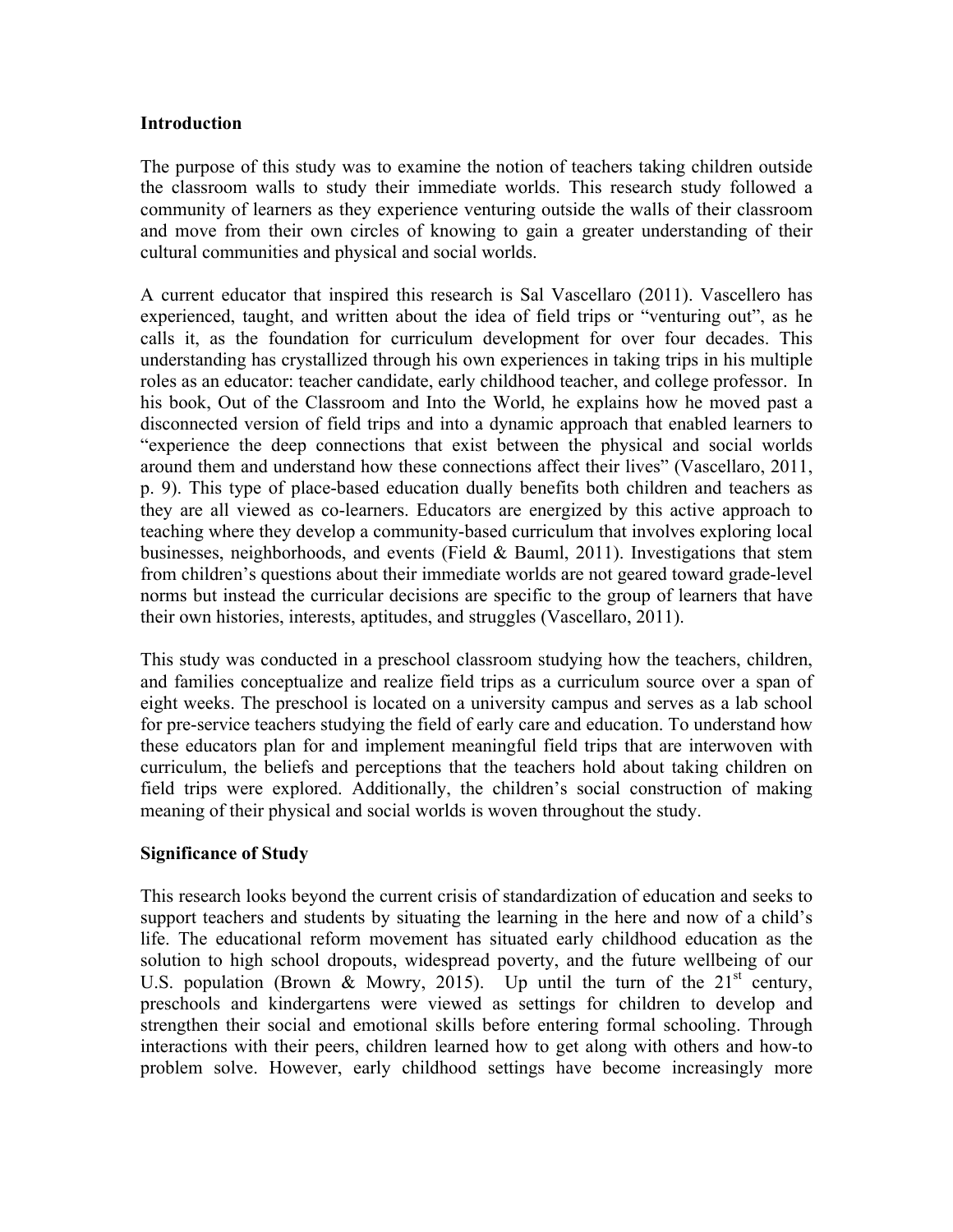#### **Introduction**

The purpose of this study was to examine the notion of teachers taking children outside the classroom walls to study their immediate worlds. This research study followed a community of learners as they experience venturing outside the walls of their classroom and move from their own circles of knowing to gain a greater understanding of their cultural communities and physical and social worlds.

A current educator that inspired this research is Sal Vascellaro (2011). Vascellero has experienced, taught, and written about the idea of field trips or "venturing out", as he calls it, as the foundation for curriculum development for over four decades. This understanding has crystallized through his own experiences in taking trips in his multiple roles as an educator: teacher candidate, early childhood teacher, and college professor. In his book, Out of the Classroom and Into the World, he explains how he moved past a disconnected version of field trips and into a dynamic approach that enabled learners to "experience the deep connections that exist between the physical and social worlds around them and understand how these connections affect their lives" (Vascellaro, 2011, p. 9). This type of place-based education dually benefits both children and teachers as they are all viewed as co-learners. Educators are energized by this active approach to teaching where they develop a community-based curriculum that involves exploring local businesses, neighborhoods, and events (Field & Bauml, 2011). Investigations that stem from children's questions about their immediate worlds are not geared toward grade-level norms but instead the curricular decisions are specific to the group of learners that have their own histories, interests, aptitudes, and struggles (Vascellaro, 2011).

This study was conducted in a preschool classroom studying how the teachers, children, and families conceptualize and realize field trips as a curriculum source over a span of eight weeks. The preschool is located on a university campus and serves as a lab school for pre-service teachers studying the field of early care and education. To understand how these educators plan for and implement meaningful field trips that are interwoven with curriculum, the beliefs and perceptions that the teachers hold about taking children on field trips were explored. Additionally, the children's social construction of making meaning of their physical and social worlds is woven throughout the study.

#### **Significance of Study**

This research looks beyond the current crisis of standardization of education and seeks to support teachers and students by situating the learning in the here and now of a child's life. The educational reform movement has situated early childhood education as the solution to high school dropouts, widespread poverty, and the future wellbeing of our U.S. population (Brown & Mowry, 2015). Up until the turn of the  $21<sup>st</sup>$  century, preschools and kindergartens were viewed as settings for children to develop and strengthen their social and emotional skills before entering formal schooling. Through interactions with their peers, children learned how to get along with others and how-to problem solve. However, early childhood settings have become increasingly more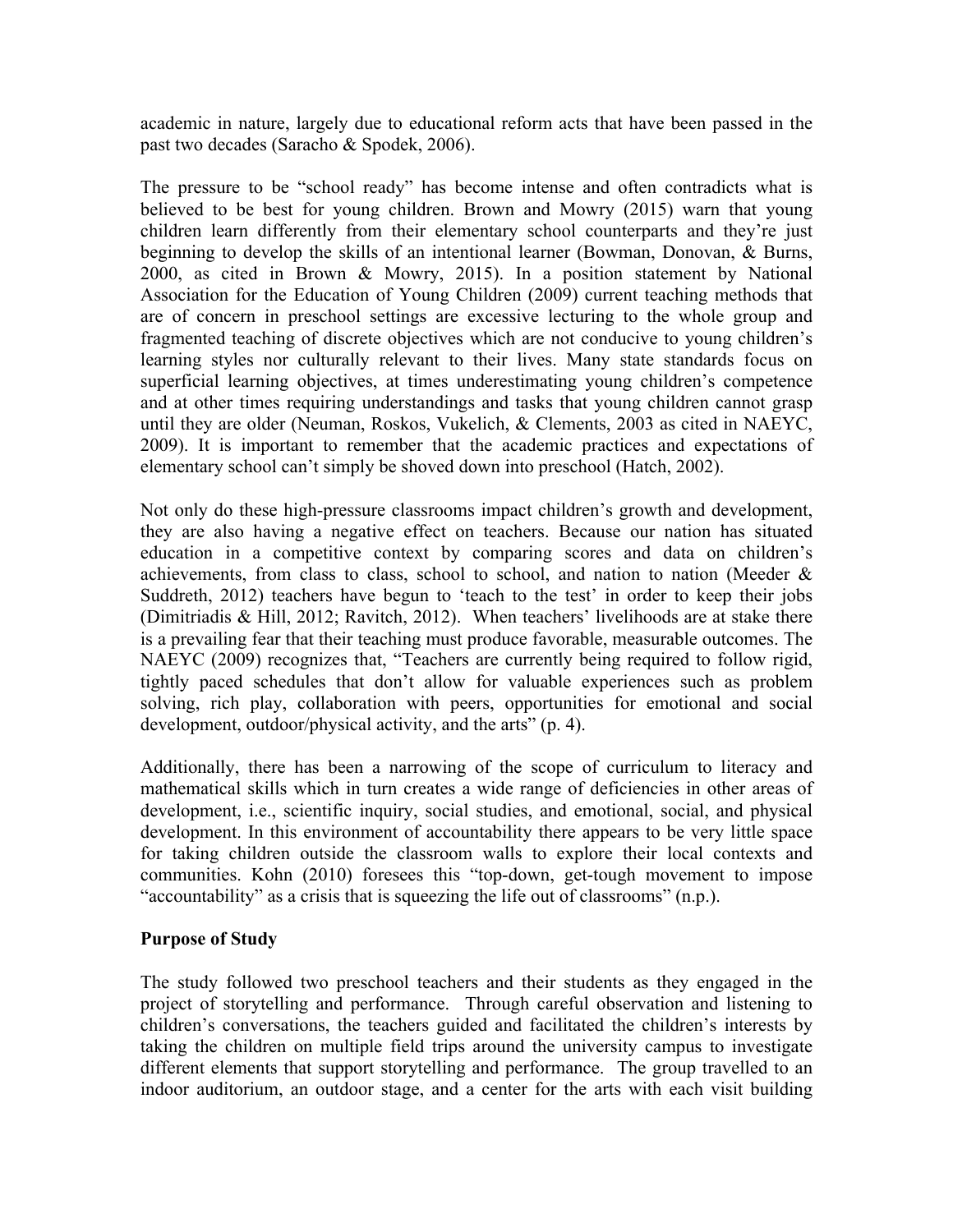academic in nature, largely due to educational reform acts that have been passed in the past two decades (Saracho & Spodek, 2006).

The pressure to be "school ready" has become intense and often contradicts what is believed to be best for young children. Brown and Mowry (2015) warn that young children learn differently from their elementary school counterparts and they're just beginning to develop the skills of an intentional learner (Bowman, Donovan, & Burns, 2000, as cited in Brown & Mowry, 2015). In a position statement by National Association for the Education of Young Children (2009) current teaching methods that are of concern in preschool settings are excessive lecturing to the whole group and fragmented teaching of discrete objectives which are not conducive to young children's learning styles nor culturally relevant to their lives. Many state standards focus on superficial learning objectives, at times underestimating young children's competence and at other times requiring understandings and tasks that young children cannot grasp until they are older (Neuman, Roskos, Vukelich, & Clements, 2003 as cited in NAEYC, 2009). It is important to remember that the academic practices and expectations of elementary school can't simply be shoved down into preschool (Hatch, 2002).

Not only do these high-pressure classrooms impact children's growth and development, they are also having a negative effect on teachers. Because our nation has situated education in a competitive context by comparing scores and data on children's achievements, from class to class, school to school, and nation to nation (Meeder  $\&$ Suddreth, 2012) teachers have begun to 'teach to the test' in order to keep their jobs (Dimitriadis & Hill, 2012; Ravitch, 2012). When teachers' livelihoods are at stake there is a prevailing fear that their teaching must produce favorable, measurable outcomes. The NAEYC (2009) recognizes that, "Teachers are currently being required to follow rigid, tightly paced schedules that don't allow for valuable experiences such as problem solving, rich play, collaboration with peers, opportunities for emotional and social development, outdoor/physical activity, and the arts" (p. 4).

Additionally, there has been a narrowing of the scope of curriculum to literacy and mathematical skills which in turn creates a wide range of deficiencies in other areas of development, i.e., scientific inquiry, social studies, and emotional, social, and physical development. In this environment of accountability there appears to be very little space for taking children outside the classroom walls to explore their local contexts and communities. Kohn (2010) foresees this "top-down, get-tough movement to impose "accountability" as a crisis that is squeezing the life out of classrooms" (n.p.).

#### **Purpose of Study**

The study followed two preschool teachers and their students as they engaged in the project of storytelling and performance. Through careful observation and listening to children's conversations, the teachers guided and facilitated the children's interests by taking the children on multiple field trips around the university campus to investigate different elements that support storytelling and performance. The group travelled to an indoor auditorium, an outdoor stage, and a center for the arts with each visit building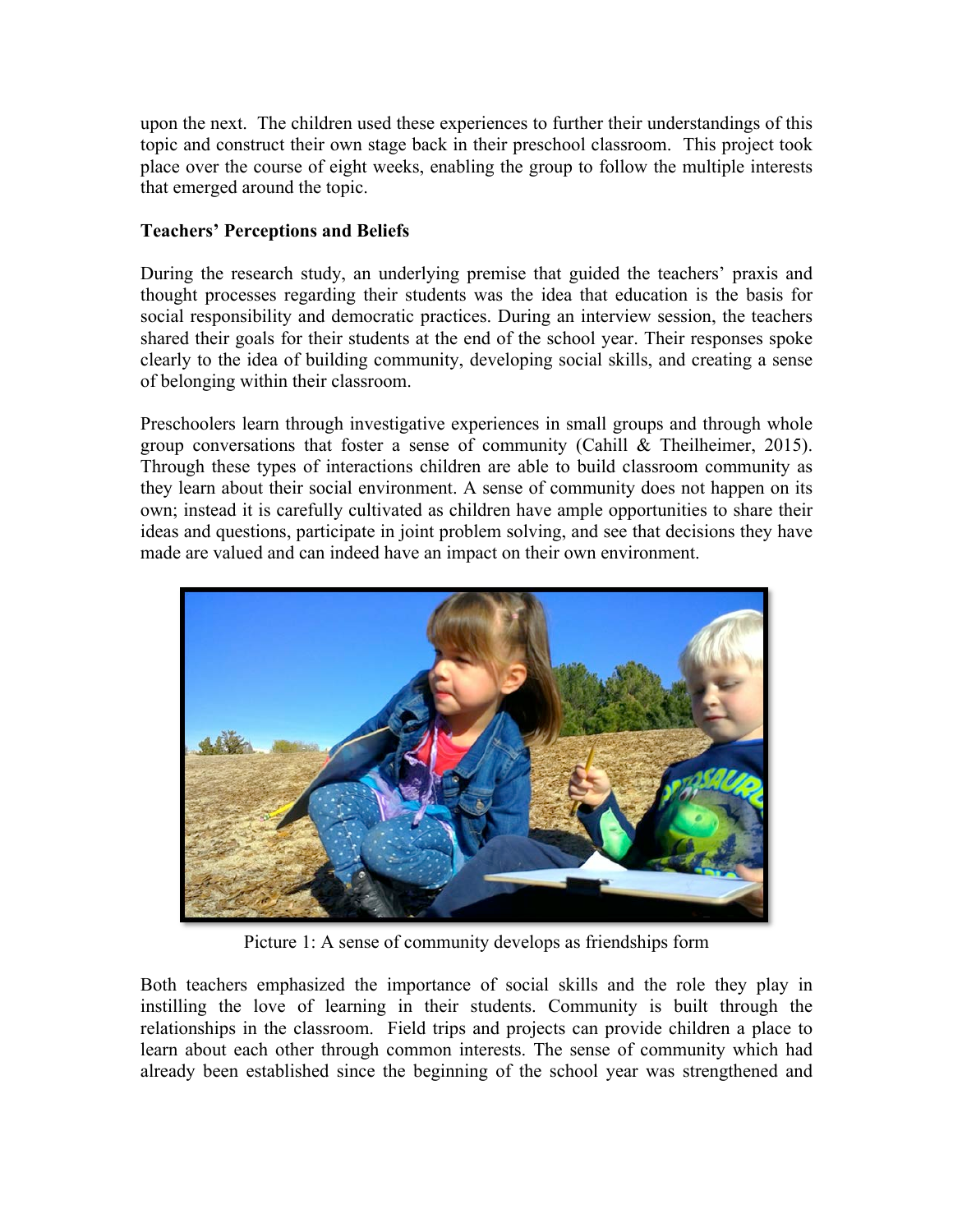upon the next. The children used these experiences to further their understandings of this topic and construct their own stage back in their preschool classroom. This project took place over the course of eight weeks, enabling the group to follow the multiple interests that emerged around the topic.

#### **Teachers' Perceptions and Beliefs**

During the research study, an underlying premise that guided the teachers' praxis and thought processes regarding their students was the idea that education is the basis for social responsibility and democratic practices. During an interview session, the teachers shared their goals for their students at the end of the school year. Their responses spoke clearly to the idea of building community, developing social skills, and creating a sense of belonging within their classroom.

Preschoolers learn through investigative experiences in small groups and through whole group conversations that foster a sense of community (Cahill & Theilheimer, 2015). Through these types of interactions children are able to build classroom community as they learn about their social environment. A sense of community does not happen on its own; instead it is carefully cultivated as children have ample opportunities to share their ideas and questions, participate in joint problem solving, and see that decisions they have made are valued and can indeed have an impact on their own environment.



Picture 1: A sense of community develops as friendships form

Both teachers emphasized the importance of social skills and the role they play in instilling the love of learning in their students. Community is built through the relationships in the classroom. Field trips and projects can provide children a place to learn about each other through common interests. The sense of community which had already been established since the beginning of the school year was strengthened and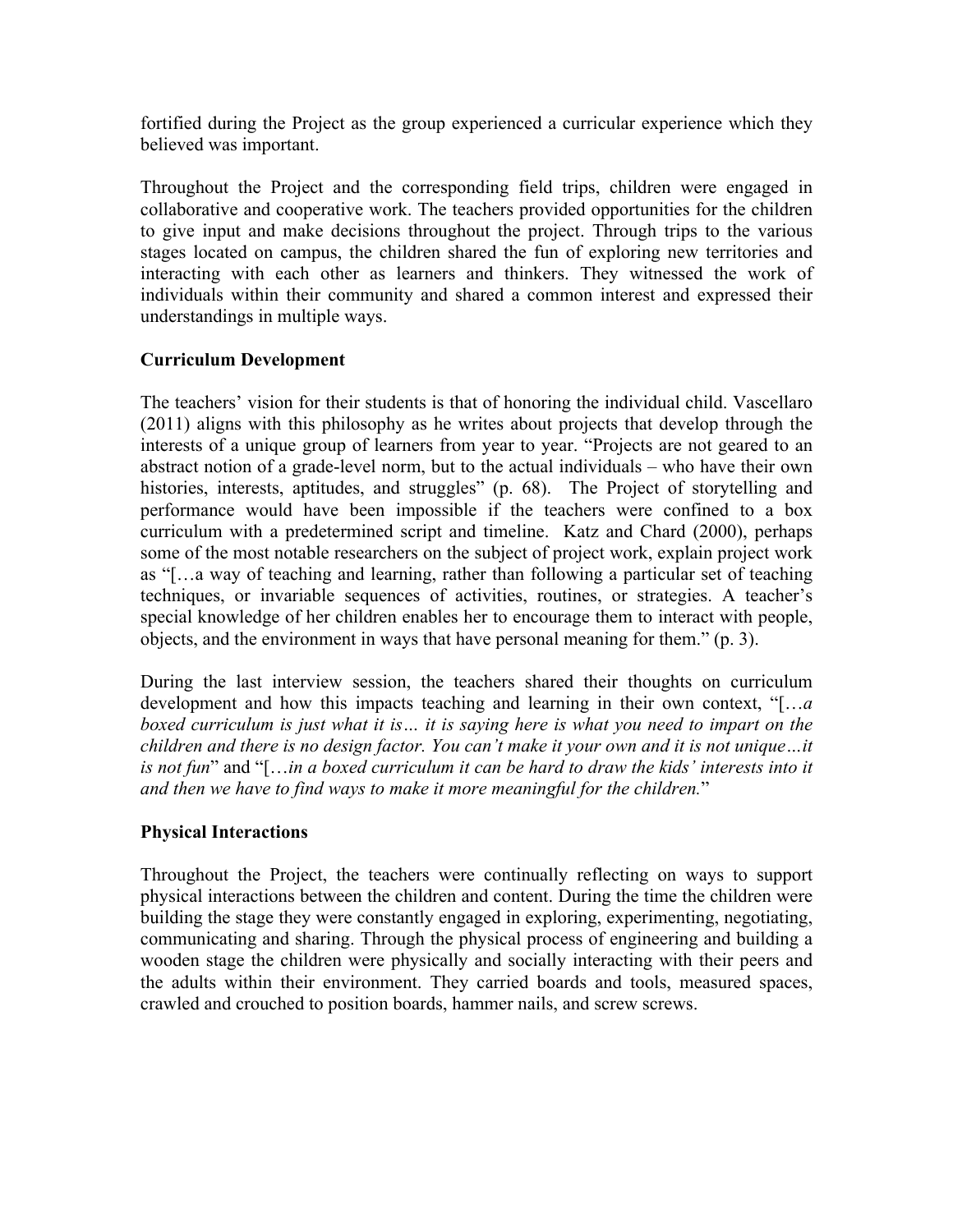fortified during the Project as the group experienced a curricular experience which they believed was important.

Throughout the Project and the corresponding field trips, children were engaged in collaborative and cooperative work. The teachers provided opportunities for the children to give input and make decisions throughout the project. Through trips to the various stages located on campus, the children shared the fun of exploring new territories and interacting with each other as learners and thinkers. They witnessed the work of individuals within their community and shared a common interest and expressed their understandings in multiple ways.

#### **Curriculum Development**

The teachers' vision for their students is that of honoring the individual child. Vascellaro (2011) aligns with this philosophy as he writes about projects that develop through the interests of a unique group of learners from year to year. "Projects are not geared to an abstract notion of a grade-level norm, but to the actual individuals – who have their own histories, interests, aptitudes, and struggles" (p. 68). The Project of storytelling and performance would have been impossible if the teachers were confined to a box curriculum with a predetermined script and timeline. Katz and Chard (2000), perhaps some of the most notable researchers on the subject of project work, explain project work as "[…a way of teaching and learning, rather than following a particular set of teaching techniques, or invariable sequences of activities, routines, or strategies. A teacher's special knowledge of her children enables her to encourage them to interact with people, objects, and the environment in ways that have personal meaning for them." (p. 3).

During the last interview session, the teachers shared their thoughts on curriculum development and how this impacts teaching and learning in their own context, "[…*a boxed curriculum is just what it is… it is saying here is what you need to impart on the children and there is no design factor. You can't make it your own and it is not unique…it is not fun*" and "[…*in a boxed curriculum it can be hard to draw the kids' interests into it and then we have to find ways to make it more meaningful for the children.*"

#### **Physical Interactions**

Throughout the Project, the teachers were continually reflecting on ways to support physical interactions between the children and content. During the time the children were building the stage they were constantly engaged in exploring, experimenting, negotiating, communicating and sharing. Through the physical process of engineering and building a wooden stage the children were physically and socially interacting with their peers and the adults within their environment. They carried boards and tools, measured spaces, crawled and crouched to position boards, hammer nails, and screw screws.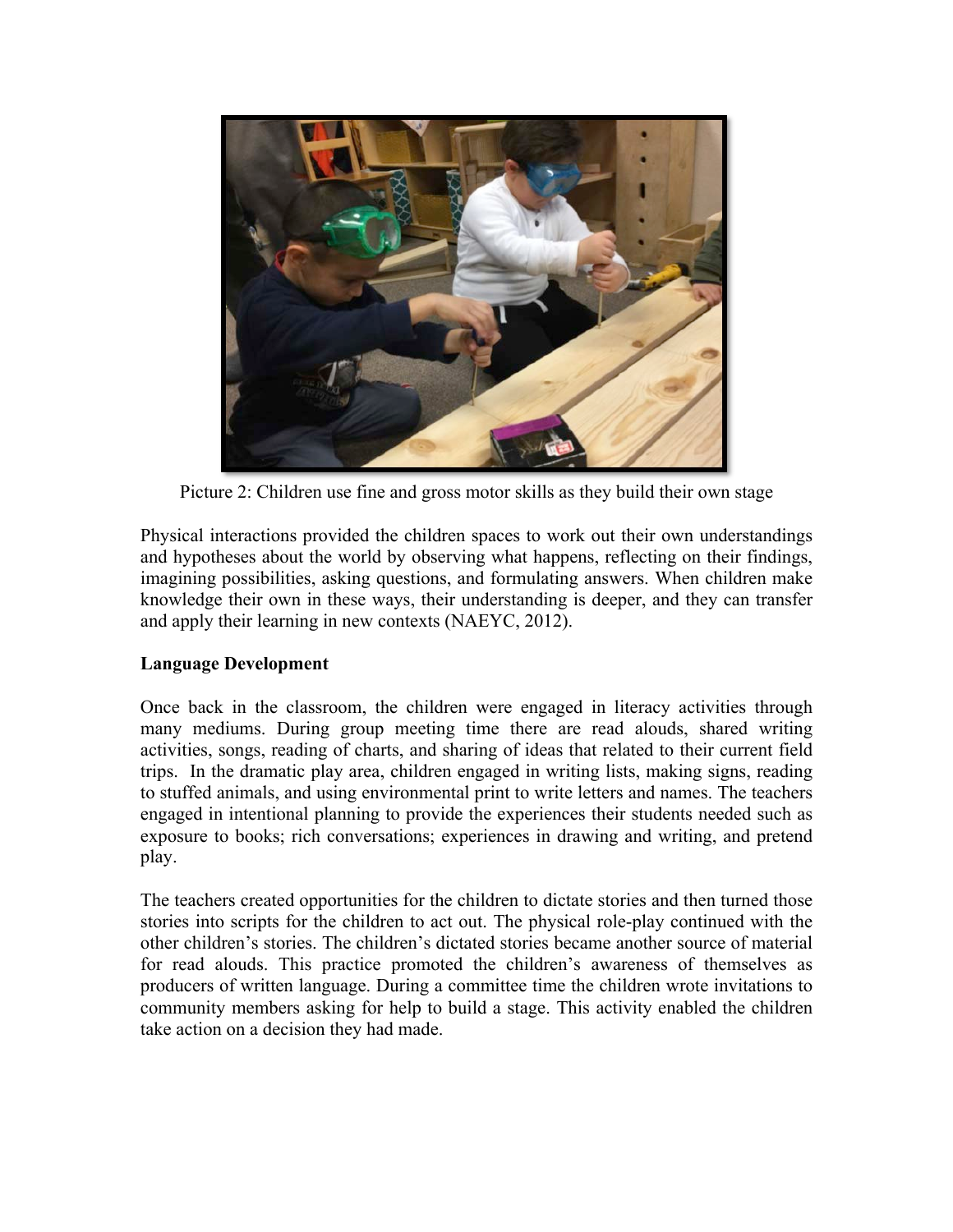

Picture 2: Children use fine and gross motor skills as they build their own stage

Physical interactions provided the children spaces to work out their own understandings and hypotheses about the world by observing what happens, reflecting on their findings, imagining possibilities, asking questions, and formulating answers. When children make knowledge their own in these ways, their understanding is deeper, and they can transfer and apply their learning in new contexts (NAEYC, 2012).

#### **Language Development**

Once back in the classroom, the children were engaged in literacy activities through many mediums. During group meeting time there are read alouds, shared writing activities, songs, reading of charts, and sharing of ideas that related to their current field trips. In the dramatic play area, children engaged in writing lists, making signs, reading to stuffed animals, and using environmental print to write letters and names. The teachers engaged in intentional planning to provide the experiences their students needed such as exposure to books; rich conversations; experiences in drawing and writing, and pretend play.

The teachers created opportunities for the children to dictate stories and then turned those stories into scripts for the children to act out. The physical role-play continued with the other children's stories. The children's dictated stories became another source of material for read alouds. This practice promoted the children's awareness of themselves as producers of written language. During a committee time the children wrote invitations to community members asking for help to build a stage. This activity enabled the children take action on a decision they had made.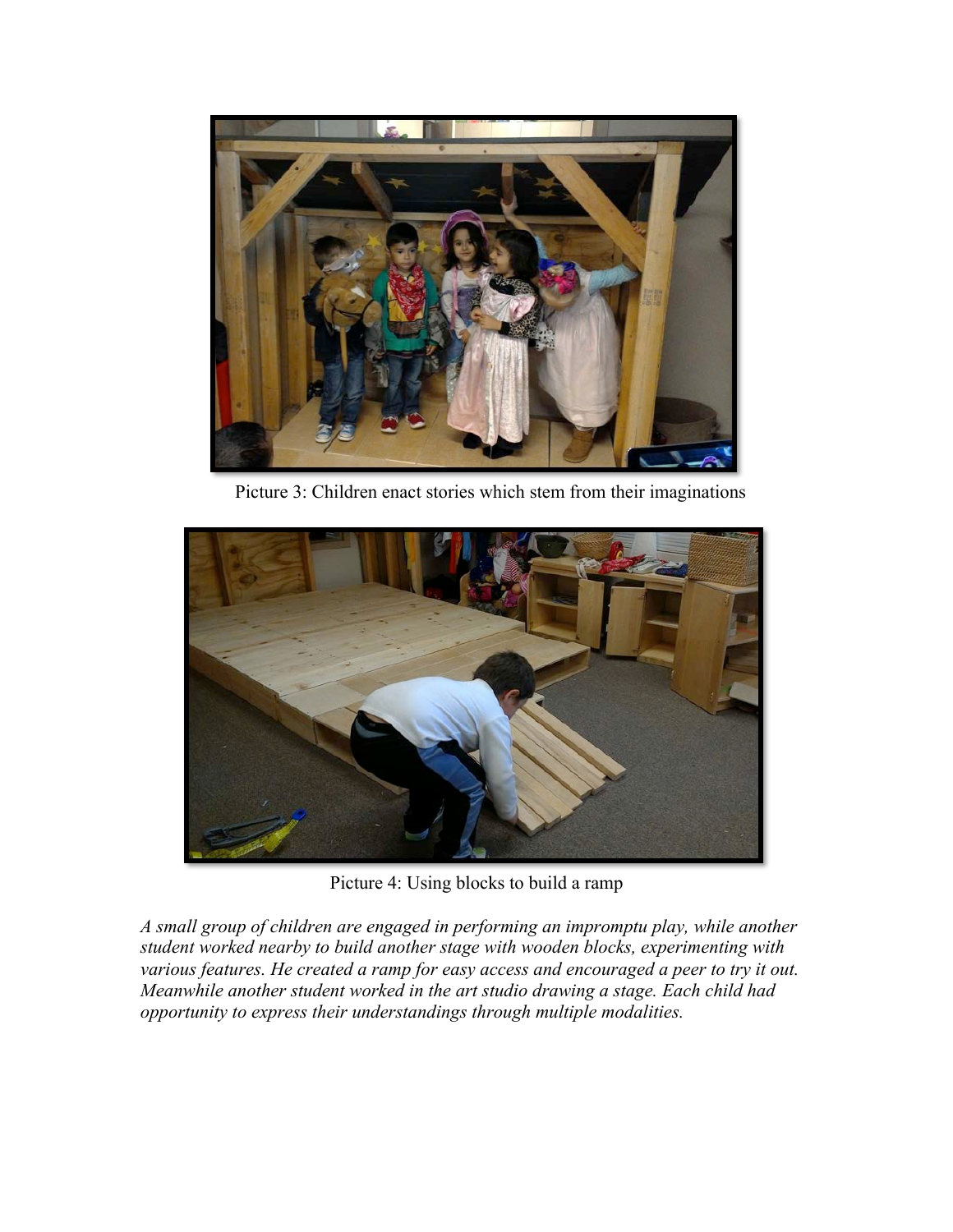

Picture 3: Children enact stories which stem from their imaginations



Picture 4: Using blocks to build a ramp

*A small group of children are engaged in performing an impromptu play, while another student worked nearby to build another stage with wooden blocks, experimenting with various features. He created a ramp for easy access and encouraged a peer to try it out. Meanwhile another student worked in the art studio drawing a stage. Each child had opportunity to express their understandings through multiple modalities.*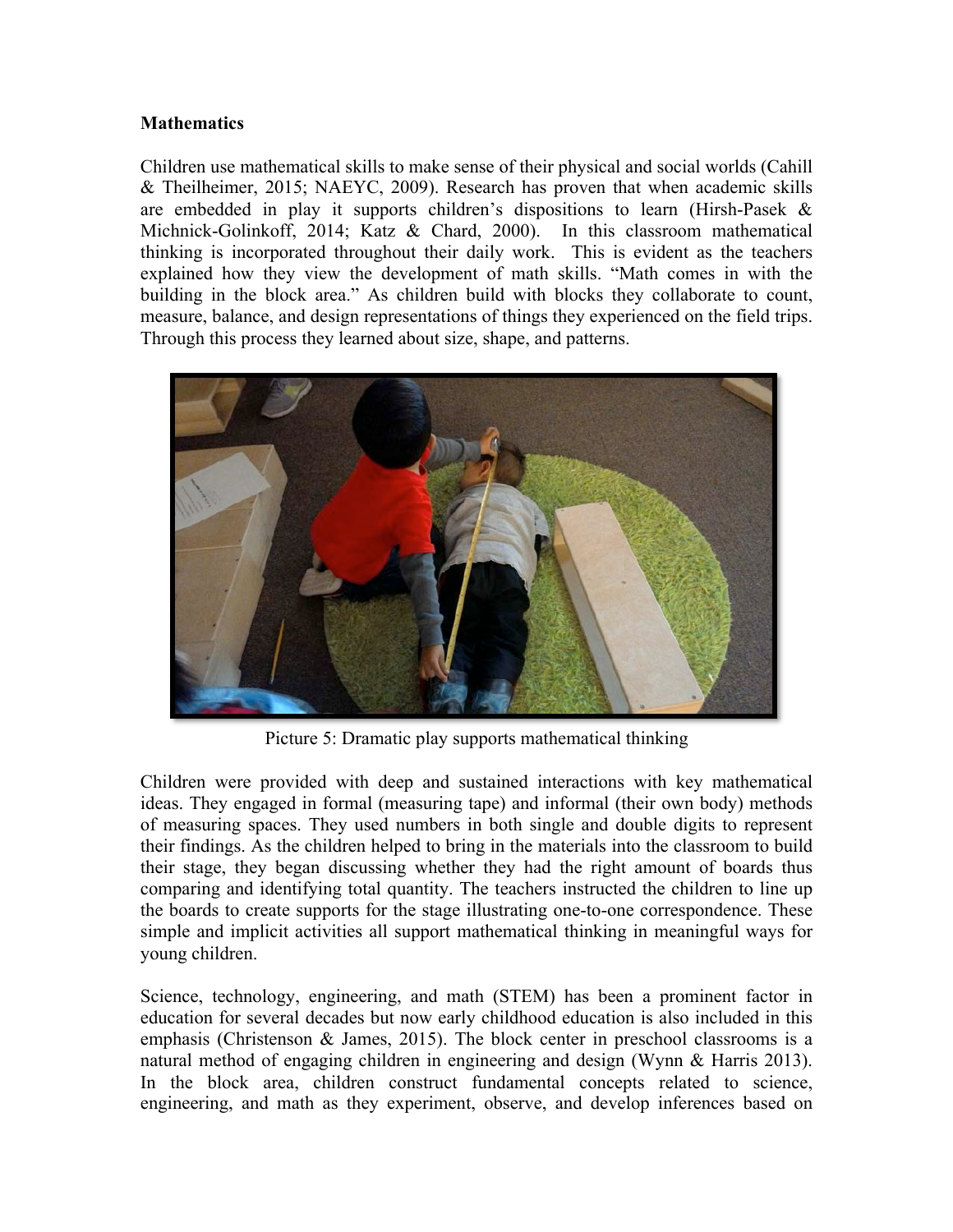#### **Mathematics**

Children use mathematical skills to make sense of their physical and social worlds (Cahill & Theilheimer, 2015; NAEYC, 2009). Research has proven that when academic skills are embedded in play it supports children's dispositions to learn (Hirsh-Pasek & Michnick-Golinkoff, 2014; Katz & Chard, 2000). In this classroom mathematical thinking is incorporated throughout their daily work. This is evident as the teachers explained how they view the development of math skills. "Math comes in with the building in the block area." As children build with blocks they collaborate to count, measure, balance, and design representations of things they experienced on the field trips. Through this process they learned about size, shape, and patterns.



Picture 5: Dramatic play supports mathematical thinking

Children were provided with deep and sustained interactions with key mathematical ideas. They engaged in formal (measuring tape) and informal (their own body) methods of measuring spaces. They used numbers in both single and double digits to represent their findings. As the children helped to bring in the materials into the classroom to build their stage, they began discussing whether they had the right amount of boards thus comparing and identifying total quantity. The teachers instructed the children to line up the boards to create supports for the stage illustrating one-to-one correspondence. These simple and implicit activities all support mathematical thinking in meaningful ways for young children.

Science, technology, engineering, and math (STEM) has been a prominent factor in education for several decades but now early childhood education is also included in this emphasis (Christenson & James, 2015). The block center in preschool classrooms is a natural method of engaging children in engineering and design (Wynn & Harris 2013). In the block area, children construct fundamental concepts related to science, engineering, and math as they experiment, observe, and develop inferences based on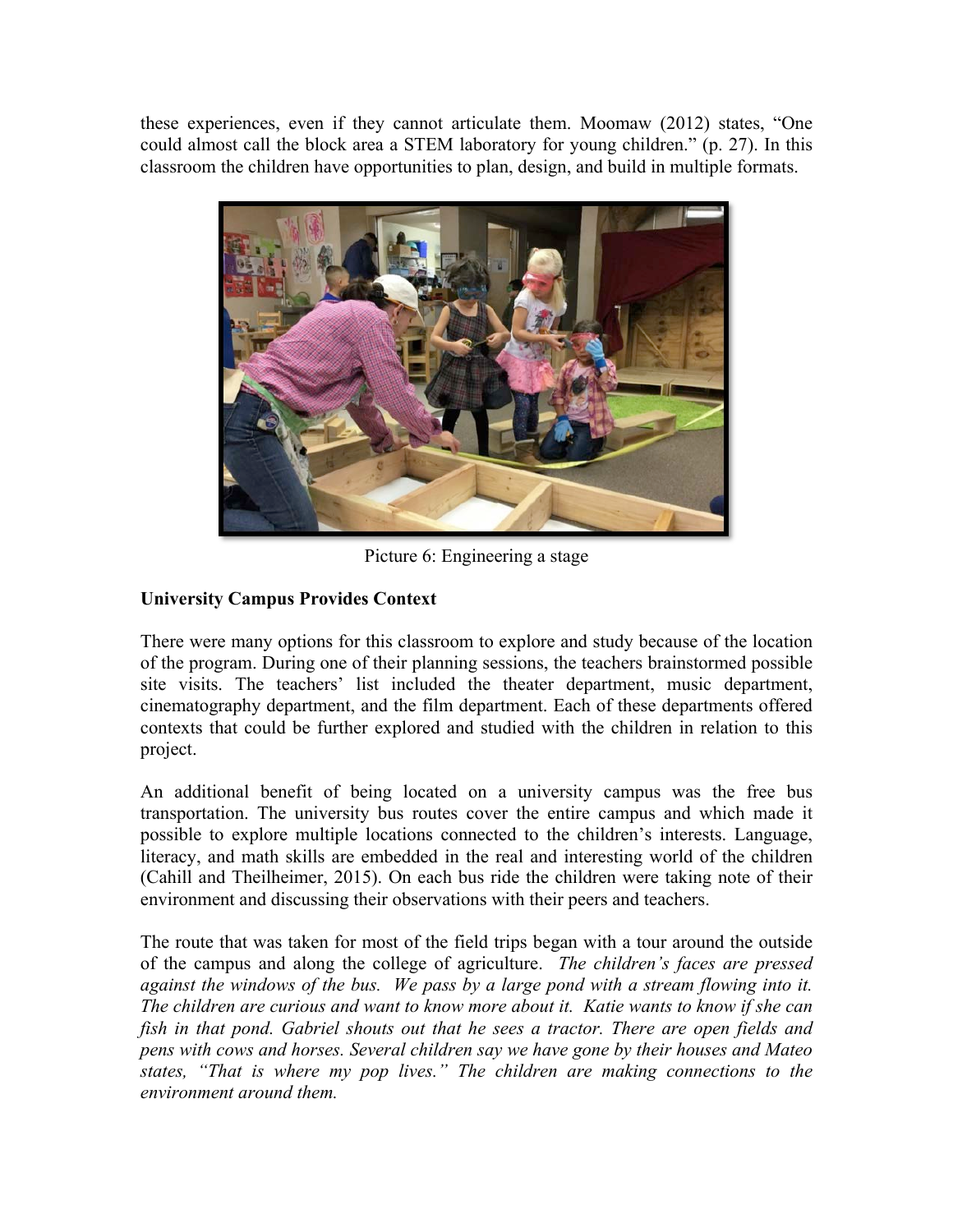these experiences, even if they cannot articulate them. Moomaw (2012) states, "One could almost call the block area a STEM laboratory for young children." (p. 27). In this classroom the children have opportunities to plan, design, and build in multiple formats.



Picture 6: Engineering a stage

# **University Campus Provides Context**

There were many options for this classroom to explore and study because of the location of the program. During one of their planning sessions, the teachers brainstormed possible site visits. The teachers' list included the theater department, music department, cinematography department, and the film department. Each of these departments offered contexts that could be further explored and studied with the children in relation to this project.

An additional benefit of being located on a university campus was the free bus transportation. The university bus routes cover the entire campus and which made it possible to explore multiple locations connected to the children's interests. Language, literacy, and math skills are embedded in the real and interesting world of the children (Cahill and Theilheimer, 2015). On each bus ride the children were taking note of their environment and discussing their observations with their peers and teachers.

The route that was taken for most of the field trips began with a tour around the outside of the campus and along the college of agriculture. *The children's faces are pressed against the windows of the bus. We pass by a large pond with a stream flowing into it. The children are curious and want to know more about it. Katie wants to know if she can fish in that pond. Gabriel shouts out that he sees a tractor. There are open fields and pens with cows and horses. Several children say we have gone by their houses and Mateo states, "That is where my pop lives." The children are making connections to the environment around them.*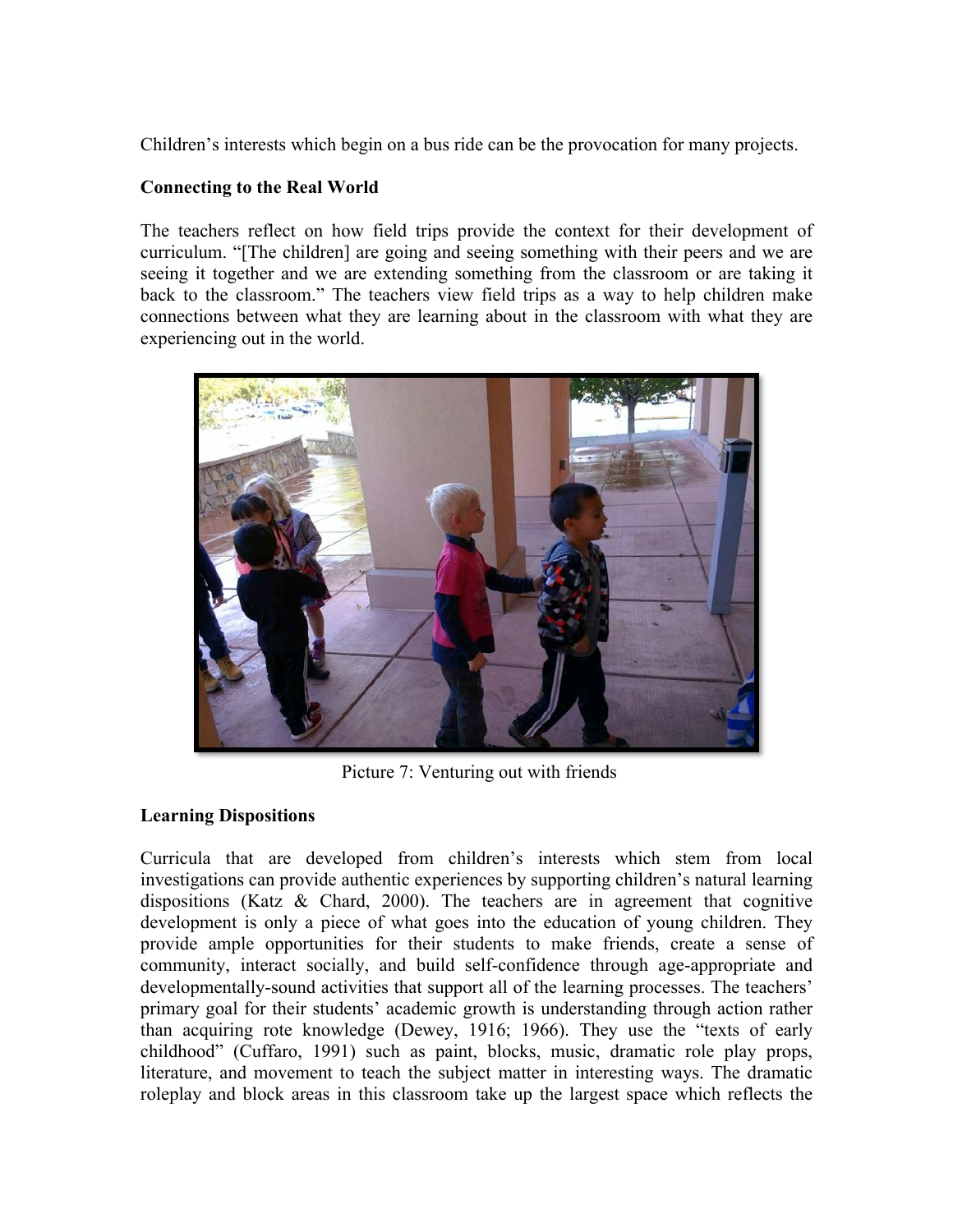Children's interests which begin on a bus ride can be the provocation for many projects.

### **Connecting to the Real World**

The teachers reflect on how field trips provide the context for their development of curriculum. "[The children] are going and seeing something with their peers and we are seeing it together and we are extending something from the classroom or are taking it back to the classroom." The teachers view field trips as a way to help children make connections between what they are learning about in the classroom with what they are experiencing out in the world.



Picture 7: Venturing out with friends

## **Learning Dispositions**

Curricula that are developed from children's interests which stem from local investigations can provide authentic experiences by supporting children's natural learning dispositions (Katz & Chard, 2000). The teachers are in agreement that cognitive development is only a piece of what goes into the education of young children. They provide ample opportunities for their students to make friends, create a sense of community, interact socially, and build self-confidence through age-appropriate and developmentally-sound activities that support all of the learning processes. The teachers' primary goal for their students' academic growth is understanding through action rather than acquiring rote knowledge (Dewey, 1916; 1966). They use the "texts of early childhood" (Cuffaro, 1991) such as paint, blocks, music, dramatic role play props, literature, and movement to teach the subject matter in interesting ways. The dramatic roleplay and block areas in this classroom take up the largest space which reflects the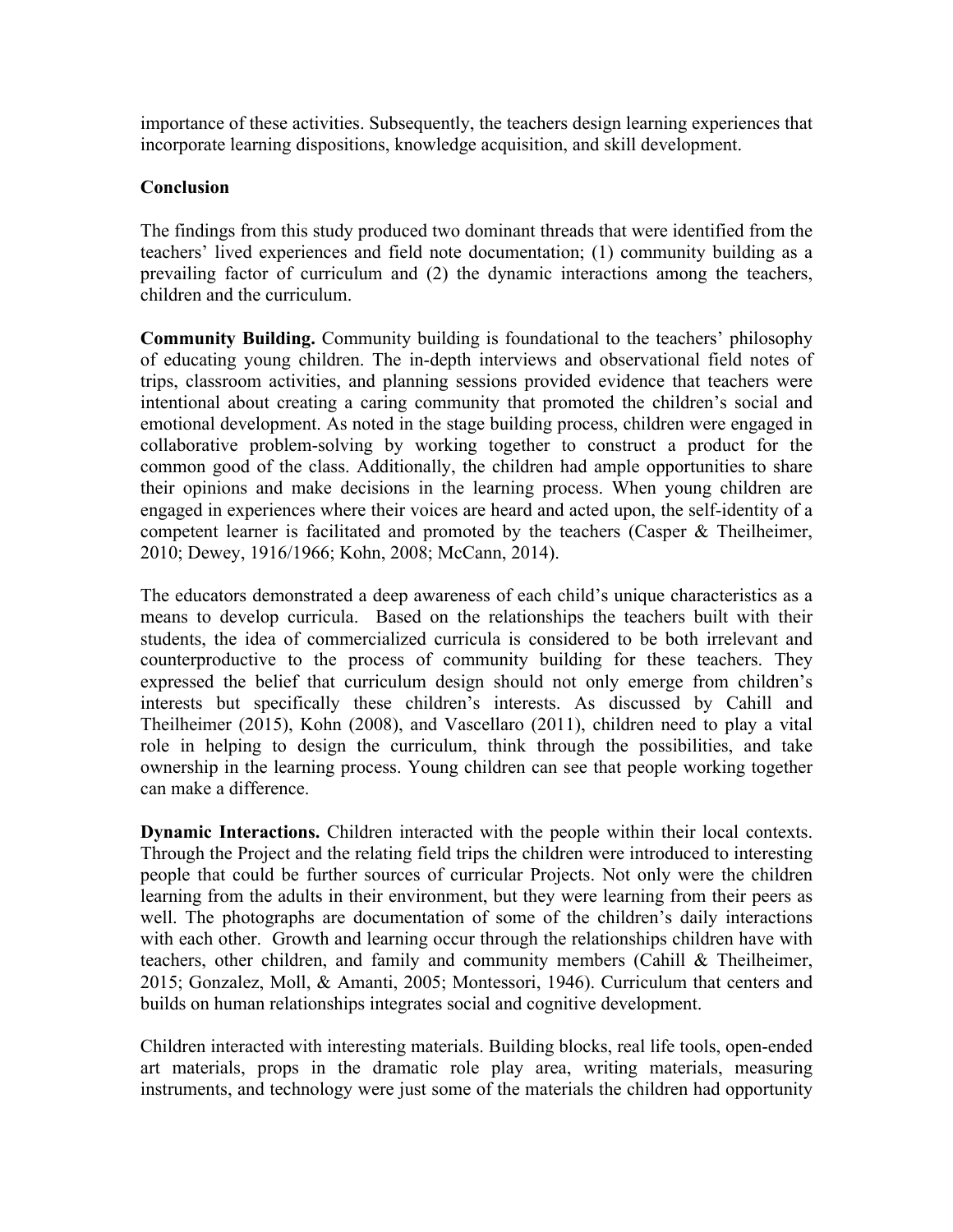importance of these activities. Subsequently, the teachers design learning experiences that incorporate learning dispositions, knowledge acquisition, and skill development.

#### **Conclusion**

The findings from this study produced two dominant threads that were identified from the teachers' lived experiences and field note documentation; (1) community building as a prevailing factor of curriculum and (2) the dynamic interactions among the teachers, children and the curriculum.

**Community Building.** Community building is foundational to the teachers' philosophy of educating young children. The in-depth interviews and observational field notes of trips, classroom activities, and planning sessions provided evidence that teachers were intentional about creating a caring community that promoted the children's social and emotional development. As noted in the stage building process, children were engaged in collaborative problem-solving by working together to construct a product for the common good of the class. Additionally, the children had ample opportunities to share their opinions and make decisions in the learning process. When young children are engaged in experiences where their voices are heard and acted upon, the self-identity of a competent learner is facilitated and promoted by the teachers (Casper & Theilheimer, 2010; Dewey, 1916/1966; Kohn, 2008; McCann, 2014).

The educators demonstrated a deep awareness of each child's unique characteristics as a means to develop curricula. Based on the relationships the teachers built with their students, the idea of commercialized curricula is considered to be both irrelevant and counterproductive to the process of community building for these teachers. They expressed the belief that curriculum design should not only emerge from children's interests but specifically these children's interests. As discussed by Cahill and Theilheimer (2015), Kohn (2008), and Vascellaro (2011), children need to play a vital role in helping to design the curriculum, think through the possibilities, and take ownership in the learning process. Young children can see that people working together can make a difference.

**Dynamic Interactions.** Children interacted with the people within their local contexts. Through the Project and the relating field trips the children were introduced to interesting people that could be further sources of curricular Projects. Not only were the children learning from the adults in their environment, but they were learning from their peers as well. The photographs are documentation of some of the children's daily interactions with each other. Growth and learning occur through the relationships children have with teachers, other children, and family and community members (Cahill & Theilheimer, 2015; Gonzalez, Moll, & Amanti, 2005; Montessori, 1946). Curriculum that centers and builds on human relationships integrates social and cognitive development.

Children interacted with interesting materials. Building blocks, real life tools, open-ended art materials, props in the dramatic role play area, writing materials, measuring instruments, and technology were just some of the materials the children had opportunity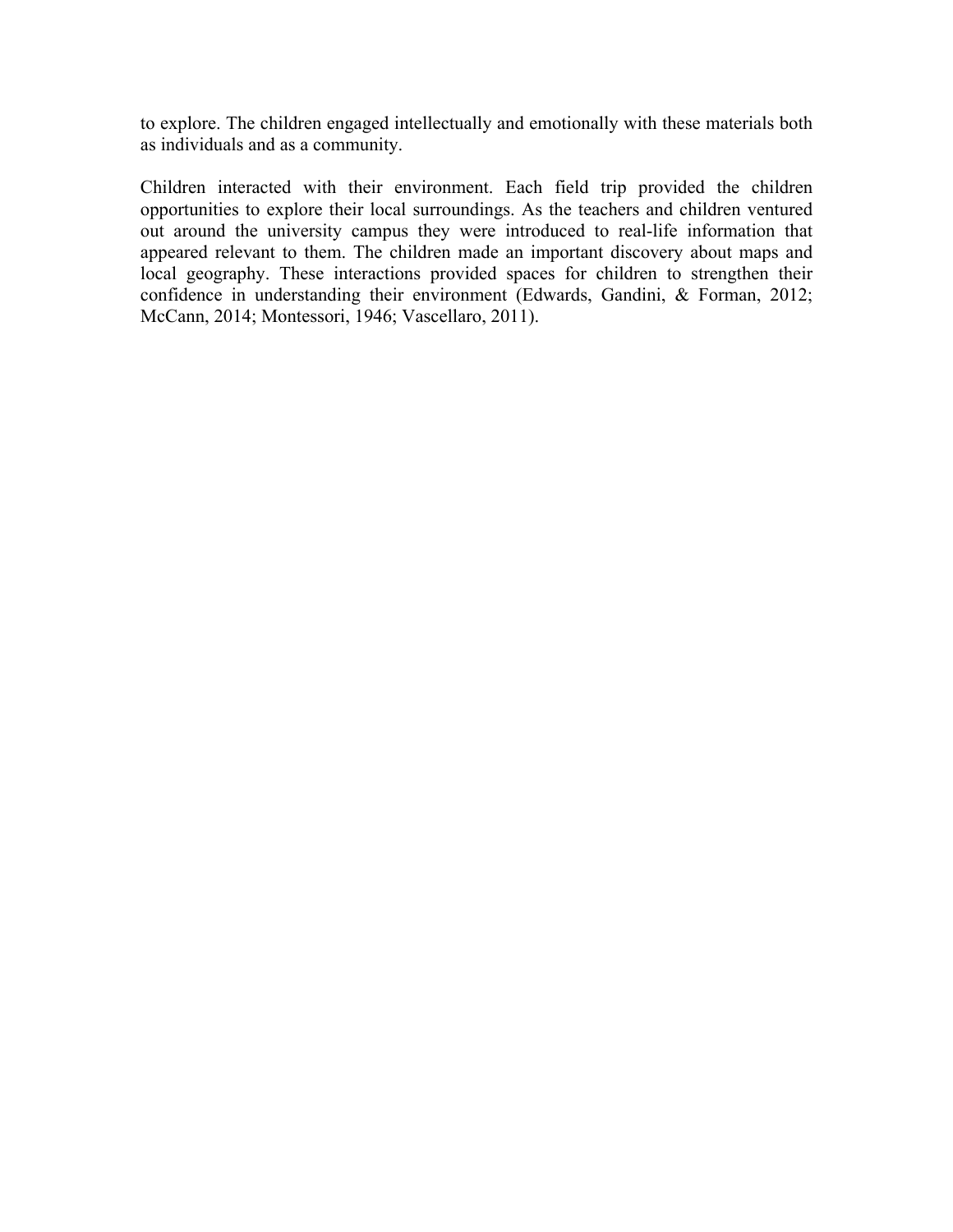to explore. The children engaged intellectually and emotionally with these materials both as individuals and as a community.

Children interacted with their environment. Each field trip provided the children opportunities to explore their local surroundings. As the teachers and children ventured out around the university campus they were introduced to real-life information that appeared relevant to them. The children made an important discovery about maps and local geography. These interactions provided spaces for children to strengthen their confidence in understanding their environment (Edwards, Gandini, & Forman, 2012; McCann, 2014; Montessori, 1946; Vascellaro, 2011).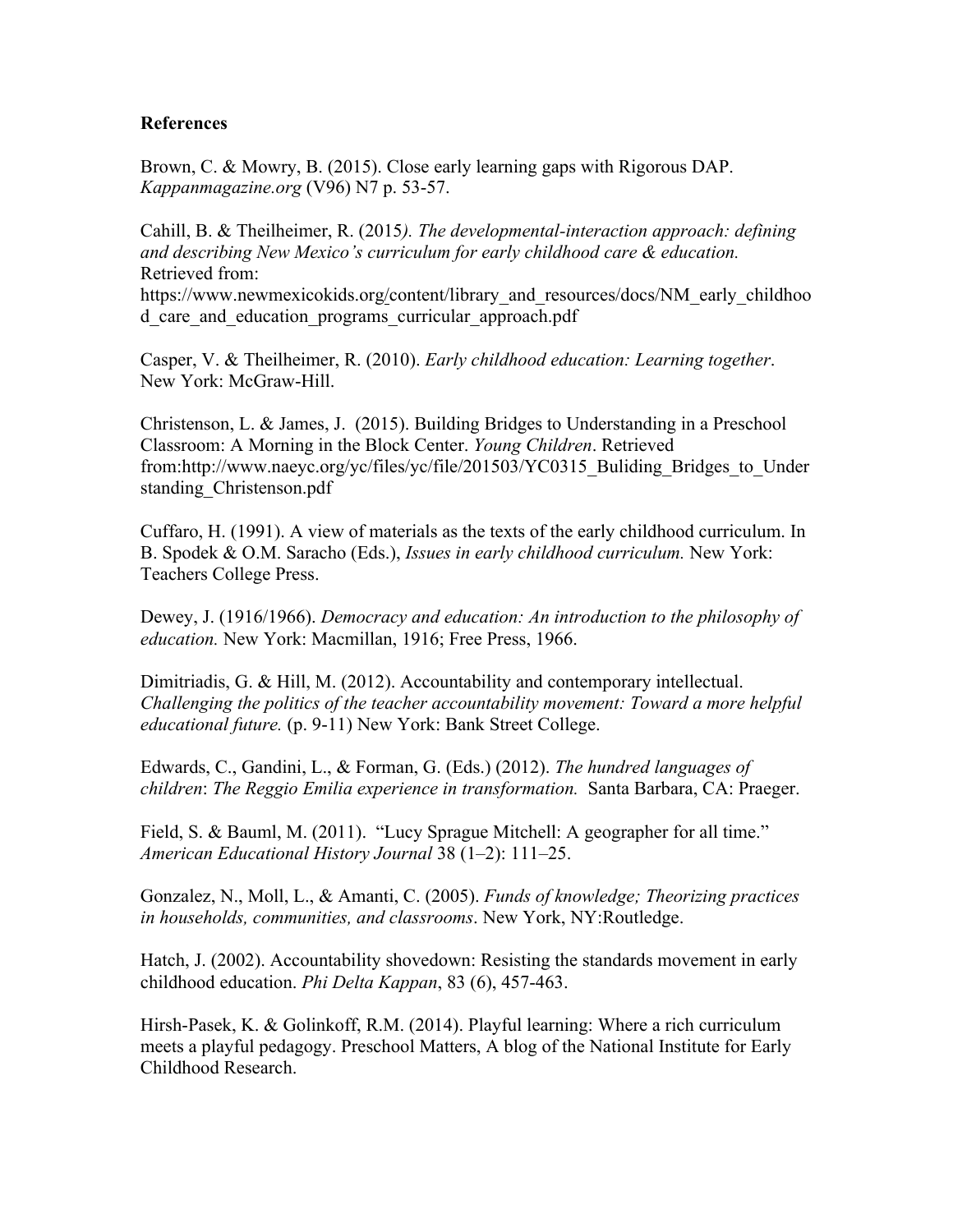#### **References**

Brown, C. & Mowry, B. (2015). Close early learning gaps with Rigorous DAP. *Kappanmagazine.org* (V96) N7 p. 53-57.

Cahill, B. & Theilheimer, R. (2015*). The developmental-interaction approach: defining and describing New Mexico's curriculum for early childhood care & education.*  Retrieved from: https://www.newmexicokids.org/content/library\_and\_resources/docs/NM\_early\_childhoo d\_care\_and\_education\_programs\_curricular\_approach.pdf

Casper, V. & Theilheimer, R. (2010). *Early childhood education: Learning together*. New York: McGraw-Hill.

Christenson, L. & James, J. (2015). Building Bridges to Understanding in a Preschool Classroom: A Morning in the Block Center. *Young Children*. Retrieved from:http://www.naeyc.org/yc/files/yc/file/201503/YC0315\_Buliding\_Bridges\_to\_Under standing\_Christenson.pdf

Cuffaro, H. (1991). A view of materials as the texts of the early childhood curriculum. In B. Spodek & O.M. Saracho (Eds.), *Issues in early childhood curriculum.* New York: Teachers College Press.

Dewey, J. (1916/1966). *Democracy and education: An introduction to the philosophy of education.* New York: Macmillan, 1916; Free Press, 1966.

Dimitriadis, G. & Hill, M. (2012). Accountability and contemporary intellectual. *Challenging the politics of the teacher accountability movement: Toward a more helpful educational future.* (p. 9-11) New York: Bank Street College.

Edwards, C., Gandini, L., & Forman, G. (Eds.) (2012). *The hundred languages of children*: *The Reggio Emilia experience in transformation.* Santa Barbara, CA: Praeger.

Field, S. & Bauml, M. (2011). "Lucy Sprague Mitchell: A geographer for all time." *American Educational History Journal* 38 (1–2): 111–25.

Gonzalez, N., Moll, L., & Amanti, C. (2005). *Funds of knowledge; Theorizing practices in households, communities, and classrooms*. New York, NY:Routledge.

Hatch, J. (2002). Accountability shovedown: Resisting the standards movement in early childhood education. *Phi Delta Kappan*, 83 (6), 457-463.

Hirsh-Pasek, K. & Golinkoff, R.M. (2014). Playful learning: Where a rich curriculum meets a playful pedagogy. Preschool Matters, A blog of the National Institute for Early Childhood Research.